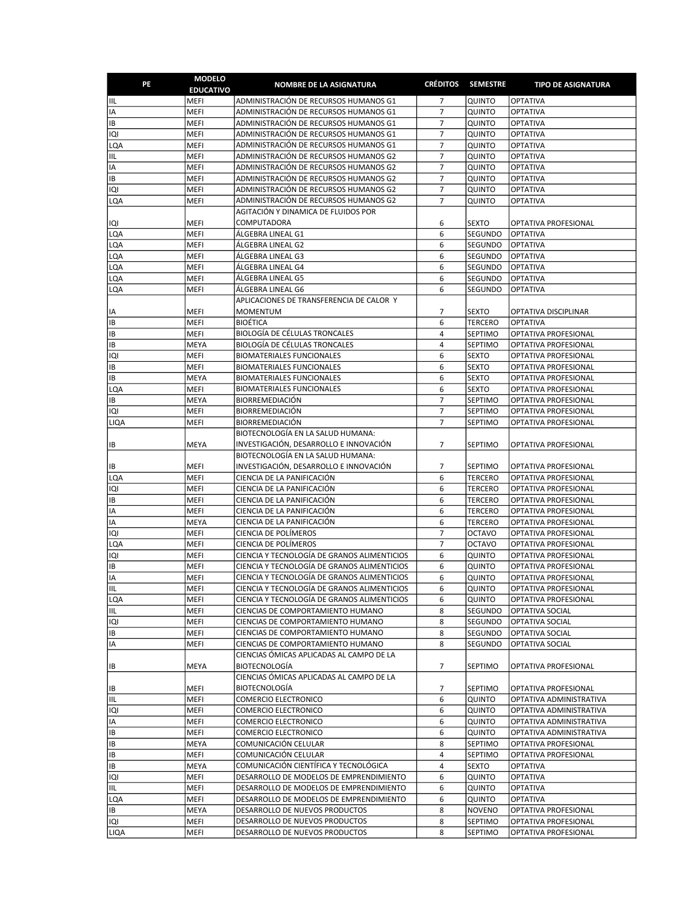| PE                | <b>MODELO</b><br><b>EDUCATIVO</b> | <b>NOMBRE DE LA ASIGNATURA</b>                                                             | <b>CRÉDITOS</b>                  | <b>SEMESTRE</b>              | <b>TIPO DE ASIGNATURA</b>                    |
|-------------------|-----------------------------------|--------------------------------------------------------------------------------------------|----------------------------------|------------------------------|----------------------------------------------|
| IIL               | MEFI                              | ADMINISTRACIÓN DE RECURSOS HUMANOS G1                                                      | 7                                | QUINTO                       | <b>OPTATIVA</b>                              |
| IA                | MEFI                              | ADMINISTRACIÓN DE RECURSOS HUMANOS G1                                                      | $\overline{7}$                   | QUINTO                       | <b>OPTATIVA</b>                              |
| IB                | <b>MEFI</b>                       | ADMINISTRACIÓN DE RECURSOS HUMANOS G1                                                      | $\overline{7}$                   | QUINTO                       | <b>OPTATIVA</b>                              |
| IQI               | MEFI                              | ADMINISTRACIÓN DE RECURSOS HUMANOS G1                                                      | $\overline{7}$                   | QUINTO                       | <b>OPTATIVA</b>                              |
| LQA               | <b>MEFI</b>                       | ADMINISTRACIÓN DE RECURSOS HUMANOS G1                                                      | $\overline{7}$                   | QUINTO                       | <b>OPTATIVA</b>                              |
| IIL               | MEFI                              | ADMINISTRACIÓN DE RECURSOS HUMANOS G2                                                      | $\overline{7}$<br>$\overline{7}$ | <b>QUINTO</b>                | <b>OPTATIVA</b>                              |
| IA<br>IB          | MEFI<br><b>MEFI</b>               | ADMINISTRACIÓN DE RECURSOS HUMANOS G2<br>ADMINISTRACIÓN DE RECURSOS HUMANOS G2             | $\overline{7}$                   | QUINTO<br>QUINTO             | <b>OPTATIVA</b><br><b>OPTATIVA</b>           |
| IQI               | MEFI                              | ADMINISTRACIÓN DE RECURSOS HUMANOS G2                                                      | $\overline{7}$                   | QUINTO                       | OPTATIVA                                     |
| LQA               | MEFI                              | ADMINISTRACIÓN DE RECURSOS HUMANOS G2                                                      | $\overline{7}$                   | QUINTO                       | <b>OPTATIVA</b>                              |
|                   |                                   | AGITACIÓN Y DINAMICA DE FLUIDOS POR                                                        |                                  |                              |                                              |
| IQI               | <b>MEFI</b>                       | COMPUTADORA                                                                                | 6                                | <b>SEXTO</b>                 | OPTATIVA PROFESIONAL                         |
| LQA               | MEFI                              | ÁLGEBRA LINEAL G1                                                                          | 6                                | SEGUNDO                      | <b>OPTATIVA</b>                              |
| LQA               | MEFI                              | ÁLGEBRA LINEAL G2                                                                          | 6                                | SEGUNDO                      | <b>OPTATIVA</b>                              |
| LQA               | MEFI                              | ÁLGEBRA LINEAL G3                                                                          | 6                                | SEGUNDO                      | <b>OPTATIVA</b>                              |
| LQA               | MEFI                              | ALGEBRA LINEAL G4                                                                          | 6                                | SEGUNDO                      | <b>OPTATIVA</b>                              |
| lqa               | MEFI                              | ÁLGEBRA LINEAL G5                                                                          | 6                                | SEGUNDO                      | <b>OPTATIVA</b>                              |
| LQA               | MEFI                              | ALGEBRA LINEAL G6                                                                          | 6                                | SEGUNDO                      | <b>OPTATIVA</b>                              |
|                   |                                   | APLICACIONES DE TRANSFERENCIA DE CALOR Y                                                   |                                  |                              |                                              |
| IA                | MEFI                              | <b>MOMENTUM</b>                                                                            | 7                                | <b>SEXTO</b>                 | OPTATIVA DISCIPLINAR                         |
| IB                | MEFI                              | <b>BIOÉTICA</b>                                                                            | 6                                | <b>TERCERO</b>               | <b>OPTATIVA</b>                              |
| IB                | MEFI                              | BIOLOGÍA DE CÉLULAS TRONCALES                                                              | $\overline{4}$                   | SEPTIMO                      | OPTATIVA PROFESIONAL                         |
| IB                | <b>MEYA</b>                       | <b>BIOLOGÍA DE CÉLULAS TRONCALES</b>                                                       | 4                                | SEPTIMO                      | OPTATIVA PROFESIONAL                         |
| IQI               | MEFI                              | <b>BIOMATERIALES FUNCIONALES</b>                                                           | 6                                | <b>SEXTO</b>                 | OPTATIVA PROFESIONAL                         |
| IB                | MEFI<br>MEYA                      | <b>BIOMATERIALES FUNCIONALES</b><br><b>BIOMATERIALES FUNCIONALES</b>                       | 6<br>6                           | <b>SEXTO</b>                 | OPTATIVA PROFESIONAL                         |
| IB<br>LQA         | MEFI                              | <b>BIOMATERIALES FUNCIONALES</b>                                                           | 6                                | <b>SEXTO</b><br><b>SEXTO</b> | OPTATIVA PROFESIONAL<br>OPTATIVA PROFESIONAL |
| IB                | MEYA                              | <b>BIORREMEDIACIÓN</b>                                                                     | $\overline{7}$                   | SEPTIMO                      | OPTATIVA PROFESIONAL                         |
| Q                 | MEFI                              | <b>BIORREMEDIACIÓN</b>                                                                     | $\overline{7}$                   | <b>SEPTIMO</b>               | OPTATIVA PROFESIONAL                         |
| LIQA              | MEFI                              | <b>BIORREMEDIACIÓN</b>                                                                     | $\overline{7}$                   | SEPTIMO                      | OPTATIVA PROFESIONAL                         |
|                   |                                   | BIOTECNOLOGÍA EN LA SALUD HUMANA:                                                          |                                  |                              |                                              |
| IB                | MEYA                              | INVESTIGACIÓN, DESARROLLO E INNOVACIÓN                                                     | $\overline{7}$                   | SEPTIMO                      | OPTATIVA PROFESIONAL                         |
|                   |                                   | BIOTECNOLOGÍA EN LA SALUD HUMANA:                                                          |                                  |                              |                                              |
| IB                | MEFI                              | INVESTIGACIÓN, DESARROLLO E INNOVACIÓN                                                     | 7                                | SEPTIMO                      | OPTATIVA PROFESIONAL                         |
| <b>LQA</b>        | MEFI                              | CIENCIA DE LA PANIFICACIÓN                                                                 | 6                                | <b>TERCERO</b>               | OPTATIVA PROFESIONAL                         |
| IQI               | MEFI                              | CIENCIA DE LA PANIFICACIÓN                                                                 | 6                                | <b>TERCERO</b>               | OPTATIVA PROFESIONAL                         |
| IB                | MEFI                              | CIENCIA DE LA PANIFICACIÓN                                                                 | 6                                | <b>TERCERO</b>               | OPTATIVA PROFESIONAL                         |
| IA                | MEFI                              | CIENCIA DE LA PANIFICACIÓN                                                                 | 6                                | <b>TERCERO</b>               | OPTATIVA PROFESIONAL                         |
| IA                | MEYA                              | CIENCIA DE LA PANIFICACIÓN                                                                 | 6                                | <b>TERCERO</b>               | OPTATIVA PROFESIONAL                         |
| IQI               | MEFI                              | CIENCIA DE POLÍMEROS                                                                       | 7                                | <b>OCTAVO</b>                | OPTATIVA PROFESIONAL                         |
| LQA               | MEFI                              | CIENCIA DE POLÍMEROS                                                                       | $\overline{7}$                   | <b>OCTAVO</b>                | OPTATIVA PROFESIONAL                         |
| iQi               | MEFI                              | CIENCIA Y TECNOLOGÍA DE GRANOS ALIMENTICIOS                                                | 6                                | QUINTO                       | OPTATIVA PROFESIONAL                         |
| IB<br>IA          | MEFI<br>MEFI                      | CIENCIA Y TECNOLOGÍA DE GRANOS ALIMENTICIOS<br>CIENCIA Y TECNOLOGÍA DE GRANOS ALIMENTICIOS | 6<br>6                           | QUINTO<br>QUINTO             | OPTATIVA PROFESIONAL<br>OPTATIVA PROFESIONAL |
| IIL               | MEFI                              | CIENCIA Y TECNOLOGIA DE GRANOS ALIMENTICIOS                                                | 6                                | QUINTO                       | OPTATIVA PROFESIONAL                         |
| LQA               | <b>MEFI</b>                       | CIENCIA Y TECNOLOGÍA DE GRANOS ALIMENTICIOS                                                | 6                                | QUINTO                       | OPTATIVA PROFESIONAL                         |
| IIL               | MEFI                              | CIENCIAS DE COMPORTAMIENTO HUMANO                                                          | 8                                | SEGUNDO                      | OPTATIVA SOCIAL                              |
| IQI               | MEFI                              | CIENCIAS DE COMPORTAMIENTO HUMANO                                                          | 8                                | SEGUNDO                      | OPTATIVA SOCIAL                              |
| IB                | MEFI                              | CIENCIAS DE COMPORTAMIENTO HUMANO                                                          | 8                                | SEGUNDO                      | OPTATIVA SOCIAL                              |
| IA                | MEFI                              | CIENCIAS DE COMPORTAMIENTO HUMANO                                                          | 8                                | SEGUNDO                      | OPTATIVA SOCIAL                              |
|                   |                                   | CIENCIAS ÓMICAS APLICADAS AL CAMPO DE LA                                                   |                                  |                              |                                              |
| IB                | MEYA                              | <b>BIOTECNOLOGÍA</b>                                                                       | 7                                | SEPTIMO                      | OPTATIVA PROFESIONAL                         |
|                   |                                   | CIENCIAS ÓMICAS APLICADAS AL CAMPO DE LA                                                   |                                  |                              |                                              |
| IB                | MEFI                              | <b>BIOTECNOLOGÍA</b>                                                                       | 7                                | SEPTIMO                      | OPTATIVA PROFESIONAL                         |
| IIL               | MEFI                              | COMERCIO ELECTRONICO                                                                       | 6                                | QUINTO                       | OPTATIVA ADMINISTRATIVA                      |
| ופו               | MEFI                              | COMERCIO ELECTRONICO                                                                       | 6                                | QUINTO                       | OPTATIVA ADMINISTRATIVA                      |
| IA                | MEFI                              | COMERCIO ELECTRONICO                                                                       | 6                                | QUINTO                       | OPTATIVA ADMINISTRATIVA                      |
| IB                | MEFI                              | COMERCIO ELECTRONICO                                                                       | 6                                | QUINTO                       | OPTATIVA ADMINISTRATIVA                      |
| IB                | MEYA                              | COMUNICACIÓN CELULAR                                                                       | 8                                | SEPTIMO                      | OPTATIVA PROFESIONAL                         |
| IB                | MEFI                              | COMUNICACIÓN CELULAR                                                                       | 4                                | SEPTIMO                      | OPTATIVA PROFESIONAL                         |
| IB                | MEYA                              | COMUNICACIÓN CIENTÍFICA Y TECNOLÓGICA                                                      | 4<br>6                           | <b>SEXTO</b>                 | OPTATIVA                                     |
| <b>IQI</b><br>IIL | MEFI<br>MEFI                      | DESARROLLO DE MODELOS DE EMPRENDIMIENTO<br>DESARROLLO DE MODELOS DE EMPRENDIMIENTO         | 6                                | QUINTO<br>QUINTO             | <b>OPTATIVA</b><br><b>OPTATIVA</b>           |
| LQA               | MEFI                              | DESARROLLO DE MODELOS DE EMPRENDIMIENTO                                                    | 6                                | QUINTO                       | <b>OPTATIVA</b>                              |
| IB                | MEYA                              | DESARROLLO DE NUEVOS PRODUCTOS                                                             | 8                                | <b>NOVENO</b>                | OPTATIVA PROFESIONAL                         |
| IQI               | MEFI                              | DESARROLLO DE NUEVOS PRODUCTOS                                                             | 8                                | SEPTIMO                      | OPTATIVA PROFESIONAL                         |
| LIQA              | MEFI                              | DESARROLLO DE NUEVOS PRODUCTOS                                                             | 8                                | SEPTIMO                      | OPTATIVA PROFESIONAL                         |
|                   |                                   |                                                                                            |                                  |                              |                                              |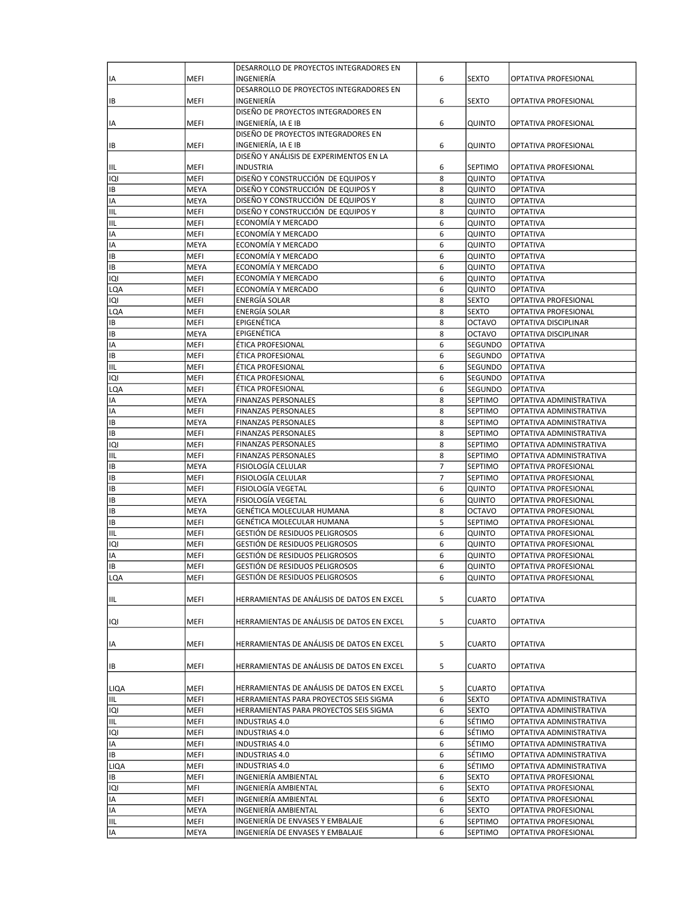|           |             | DESARROLLO DE PROYECTOS INTEGRADORES EN    |                |                |                         |
|-----------|-------------|--------------------------------------------|----------------|----------------|-------------------------|
| IA        | MEFI        | INGENIERÍA                                 | 6              | <b>SEXTO</b>   | OPTATIVA PROFESIONAL    |
|           |             | DESARROLLO DE PROYECTOS INTEGRADORES EN    |                |                |                         |
| IB        | MEFI        | INGENIERÍA                                 | 6              | <b>SEXTO</b>   | OPTATIVA PROFESIONAL    |
|           |             | DISEÑO DE PROYECTOS INTEGRADORES EN        |                |                |                         |
| IA        | MEFI        | INGENIERÍA, IA E IB                        | 6              | QUINTO         | OPTATIVA PROFESIONAL    |
|           |             | DISEÑO DE PROYECTOS INTEGRADORES EN        |                |                |                         |
| IB        | MEFI        | INGENIERÍA, IA E IB                        | 6              | QUINTO         | OPTATIVA PROFESIONAL    |
|           |             | DISEÑO Y ANÁLISIS DE EXPERIMENTOS EN LA    |                |                |                         |
| IIL       | MEFI        | <b>INDUSTRIA</b>                           | 6              | <b>SEPTIMO</b> | OPTATIVA PROFESIONAL    |
| IQI       | MEFI        | DISEÑO Y CONSTRUCCIÓN DE EQUIPOS Y         | 8              | QUINTO         | <b>OPTATIVA</b>         |
| IB        | MEYA        | DISEÑO Y CONSTRUCCIÓN DE EQUIPOS Y         | 8              | QUINTO         | <b>OPTATIVA</b>         |
| IA        | <b>MEYA</b> | DISEÑO Y CONSTRUCCIÓN DE EQUIPOS Y         | 8              | QUINTO         | <b>OPTATIVA</b>         |
| IIL       | <b>MEFI</b> | DISEÑO Y CONSTRUCCIÓN DE EQUIPOS Y         | 8              | QUINTO         | OPTATIVA                |
| IIL       | <b>MEFI</b> | ECONOMÍA Y MERCADO                         | 6              | QUINTO         | <b>OPTATIVA</b>         |
| IA        | MEFI        | ECONOMÍA Y MERCADO                         | 6              | QUINTO         | OPTATIVA                |
| IA        | <b>MEYA</b> | ECONOMÍA Y MERCADO                         | 6              | QUINTO         | OPTATIVA                |
| IB        | <b>MEFI</b> | ECONOMÍA Y MERCADO                         | 6              | QUINTO         | OPTATIVA                |
| IB        | MEYA        | ECONOMÍA Y MERCADO                         | 6              | QUINTO         | OPTATIVA                |
| IQI       | MEFI        | ECONOMÍA Y MERCADO                         | 6              | QUINTO         | OPTATIVA                |
| LQA       | <b>MEFI</b> | ECONOMÍA Y MERCADO                         | 6              | QUINTO         | <b>OPTATIVA</b>         |
| IQI       | <b>MEFI</b> | ENERGÍA SOLAR                              | 8              | <b>SEXTO</b>   | OPTATIVA PROFESIONAL    |
| LQA       | MEFI        | ENERGÍA SOLAR                              | 8              | <b>SEXTO</b>   | OPTATIVA PROFESIONAL    |
| IB        | MEFI        | EPIGENÉTICA                                | 8              | <b>OCTAVO</b>  | OPTATIVA DISCIPLINAR    |
| IB        | <b>MEYA</b> | EPIGENÉTICA                                | 8              | <b>OCTAVO</b>  | OPTATIVA DISCIPLINAR    |
| IA        | <b>MEFI</b> | ÉTICA PROFESIONAL                          | 6              | SEGUNDO        | <b>OPTATIVA</b>         |
| IB        | MEFI        | ÉTICA PROFESIONAL                          | 6              | SEGUNDO        | OPTATIVA                |
| IIL       | MEFI        | ÉTICA PROFESIONAL                          | 6              | SEGUNDO        | <b>OPTATIVA</b>         |
| IQI       | MEFI        | ÉTICA PROFESIONAL                          | 6              | <b>SEGUNDO</b> | <b>OPTATIVA</b>         |
| LQA       | <b>MEFI</b> | ÉTICA PROFESIONAL                          | 6              | SEGUNDO        | <b>OPTATIVA</b>         |
| IA        | MEYA        | FINANZAS PERSONALES                        | 8              | SEPTIMO        | OPTATIVA ADMINISTRATIVA |
| IA        | MEFI        | FINANZAS PERSONALES                        | 8              | SEPTIMO        | OPTATIVA ADMINISTRATIVA |
| IB        | MEYA        | FINANZAS PERSONALES                        | 8              | <b>SEPTIMO</b> | OPTATIVA ADMINISTRATIVA |
| IB        | <b>MEFI</b> | FINANZAS PERSONALES                        | 8              | <b>SEPTIMO</b> | OPTATIVA ADMINISTRATIVA |
| IQI       | MEFI        | FINANZAS PERSONALES                        | 8              | <b>SEPTIMO</b> | OPTATIVA ADMINISTRATIVA |
| IIL       | <b>MEFI</b> | <b>FINANZAS PERSONALES</b>                 | 8              | SEPTIMO        | OPTATIVA ADMINISTRATIVA |
| IB        | MEYA        | FISIOLOGÍA CELULAR                         | $\overline{7}$ | <b>SEPTIMO</b> | OPTATIVA PROFESIONAL    |
| IB        | <b>MEFI</b> | FISIOLOGÍA CELULAR                         | $\overline{7}$ | <b>SEPTIMO</b> | OPTATIVA PROFESIONAL    |
| IB        | <b>MEFI</b> | FISIOLOGÍA VEGETAL                         | 6              | QUINTO         | OPTATIVA PROFESIONAL    |
| IB        | MEYA        | FISIOLOGÍA VEGETAL                         | 6              | QUINTO         | OPTATIVA PROFESIONAL    |
| IB        | <b>MEYA</b> | GENÉTICA MOLECULAR HUMANA                  | 8              | <b>OCTAVO</b>  | OPTATIVA PROFESIONAL    |
| IB        | MEFI        | GENÉTICA MOLECULAR HUMANA                  | 5              | <b>SEPTIMO</b> | OPTATIVA PROFESIONAL    |
| IIL       | <b>MEFI</b> | GESTIÓN DE RESIDUOS PELIGROSOS             | 6              | QUINTO         | OPTATIVA PROFESIONAL    |
| IQI       | <b>MEFI</b> | GESTIÓN DE RESIDUOS PELIGROSOS             | 6              | QUINTO         | OPTATIVA PROFESIONAL    |
| IA        | MEFI        | GESTIÓN DE RESIDUOS PELIGROSOS             | 6              | <b>QUINTO</b>  | OPTATIVA PROFESIONAL    |
| <b>IB</b> | <b>MEFI</b> | GESTIÓN DE RESIDUOS PELIGROSOS             | 6              | QUINTO         | OPTATIVA PROFESIONAL    |
| LQA       | MEFI        | GESTION DE RESIDUOS PELIGROSOS             | 6              | QUINTO         | OPTATIVA PROFESIONAL    |
| IIL       | MEFI        | HERRAMIENTAS DE ANÁLISIS DE DATOS EN EXCEL | 5              | <b>CUARTO</b>  | <b>OPTATIVA</b>         |
|           |             |                                            |                |                |                         |
| IQI       | MEFI        | HERRAMIENTAS DE ANÁLISIS DE DATOS EN EXCEL | 5              | <b>CUARTO</b>  | <b>OPTATIVA</b>         |
|           |             |                                            |                |                |                         |
| IA        | MEFI        | HERRAMIENTAS DE ANÁLISIS DE DATOS EN EXCEL | 5              | <b>CUARTO</b>  | OPTATIVA                |
|           |             |                                            |                |                |                         |
| IB        | MEFI        | HERRAMIENTAS DE ANÁLISIS DE DATOS EN EXCEL | 5              | <b>CUARTO</b>  | OPTATIVA                |
|           |             |                                            |                |                |                         |
| LIQA      | MEFI        | HERRAMIENTAS DE ANÁLISIS DE DATOS EN EXCEL | 5              | <b>CUARTO</b>  | <b>OPTATIVA</b>         |
| IIL       | MEFI        | HERRAMIENTAS PARA PROYECTOS SEIS SIGMA     | 6              | <b>SEXTO</b>   | OPTATIVA ADMINISTRATIVA |
| IQI       | MEFI        | HERRAMIENTAS PARA PROYECTOS SEIS SIGMA     | 6              | <b>SEXTO</b>   | OPTATIVA ADMINISTRATIVA |
| IIL       | MEFI        | <b>INDUSTRIAS 4.0</b>                      | 6              | <b>SÉTIMO</b>  | OPTATIVA ADMINISTRATIVA |
| IQI       | MEFI        | INDUSTRIAS 4.0                             | 6              | <b>SÉTIMO</b>  | OPTATIVA ADMINISTRATIVA |
| IA        | MEFI        | <b>INDUSTRIAS 4.0</b>                      | 6              | <b>SÉTIMO</b>  | OPTATIVA ADMINISTRATIVA |
| IB        | MEFI        | <b>INDUSTRIAS 4.0</b>                      | 6              | SÉTIMO         | OPTATIVA ADMINISTRATIVA |
| LIQA      | MEFI        | INDUSTRIAS 4.0                             | 6              | <b>SÉTIMO</b>  | OPTATIVA ADMINISTRATIVA |
| IB        | MEFI        | INGENIERÍA AMBIENTAL                       | 6              | <b>SEXTO</b>   | OPTATIVA PROFESIONAL    |
| IQI       | MFI         | INGENIERÍA AMBIENTAL                       | 6              | <b>SEXTO</b>   | OPTATIVA PROFESIONAL    |
| IA        | MEFI        | INGENIERÍA AMBIENTAL                       | 6              | <b>SEXTO</b>   | OPTATIVA PROFESIONAL    |
| IA        | MEYA        | INGENIERÍA AMBIENTAL                       | 6              | <b>SEXTO</b>   | OPTATIVA PROFESIONAL    |
| IIL       | MEFI        | INGENIERÍA DE ENVASES Y EMBALAJE           | 6              | SEPTIMO        | OPTATIVA PROFESIONAL    |
| IA        | MEYA        | INGENIERÍA DE ENVASES Y EMBALAJE           | 6              | <b>SEPTIMO</b> | OPTATIVA PROFESIONAL    |
|           |             |                                            |                |                |                         |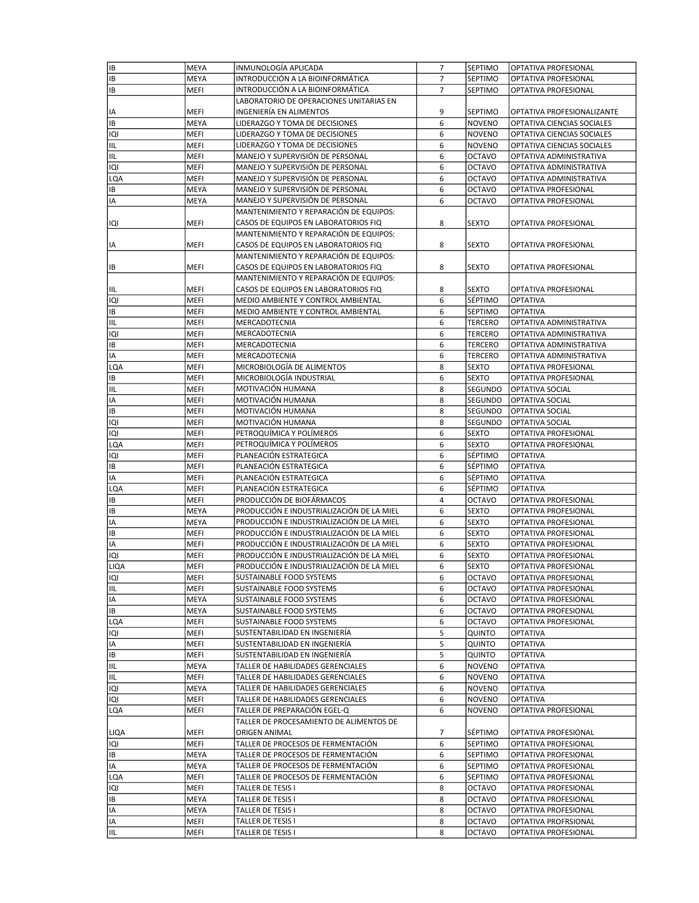| IB   | MEYA        | INMUNOLOGÍA APLICADA                      | 7 | <b>SEPTIMO</b> | OPTATIVA PROFESIONAL       |
|------|-------------|-------------------------------------------|---|----------------|----------------------------|
| IB   | MEYA        | INTRODUCCIÓN A LA BIOINFORMÁTICA          | 7 | <b>SEPTIMO</b> | OPTATIVA PROFESIONAL       |
| IB   | MEFI        | INTRODUCCIÓN A LA BIOINFORMÁTICA          | 7 | SEPTIMO        | OPTATIVA PROFESIONAL       |
|      |             | LABORATORIO DE OPERACIONES UNITARIAS EN   |   |                |                            |
| IA   | MEFI        | INGENIERÍA EN ALIMENTOS                   | 9 | SEPTIMO        | OPTATIVA PROFESIONALIZANTE |
| IΒ   | MEYA        | LIDERAZGO Y TOMA DE DECISIONES            | 6 | <b>NOVENO</b>  | OPTATIVA CIENCIAS SOCIALES |
| IQI  | MEFI        | LIDERAZGO Y TOMA DE DECISIONES            | 6 | <b>NOVENO</b>  | OPTATIVA CIENCIAS SOCIALES |
| IIL  | MEFI        | LIDERAZGO Y TOMA DE DECISIONES            | 6 | <b>NOVENO</b>  | OPTATIVA CIENCIAS SOCIALES |
| IIL  | MEFI        | MANEJO Y SUPERVISIÓN DE PERSONAL          | 6 | <b>OCTAVO</b>  | OPTATIVA ADMINISTRATIVA    |
| IQI  | MEFI        | MANEJO Y SUPERVISIÓN DE PERSONAL          | 6 | <b>OCTAVO</b>  | OPTATIVA ADMINISTRATIVA    |
|      |             |                                           |   |                |                            |
| LQA  | MEFI        | MANEJO Y SUPERVISIÓN DE PERSONAL          | 6 | <b>OCTAVO</b>  | OPTATIVA ADMINISTRATIVA    |
| IB   | MEYA        | MANEJO Y SUPERVISIÓN DE PERSONAL          | 6 | <b>OCTAVO</b>  | OPTATIVA PROFESIONAL       |
| IA   | MEYA        | MANEJO Y SUPERVISIÓN DE PERSONAL          | 6 | <b>OCTAVO</b>  | OPTATIVA PROFESIONAL       |
|      |             | MANTENIMIENTO Y REPARACIÓN DE EQUIPOS:    |   |                |                            |
| IQI  | MEFI        | CASOS DE EQUIPOS EN LABORATORIOS FIQ      | 8 | <b>SEXTO</b>   | OPTATIVA PROFESIONAL       |
|      |             | MANTENIMIENTO Y REPARACIÓN DE EQUIPOS:    |   |                |                            |
| IA   | MEFI        | CASOS DE EQUIPOS EN LABORATORIOS FIQ      | 8 | <b>SEXTO</b>   | OPTATIVA PROFESIONAL       |
|      |             | MANTENIMIENTO Y REPARACIÓN DE EQUIPOS:    |   |                |                            |
| IB   | MEFI        | CASOS DE EQUIPOS EN LABORATORIOS FIQ      | 8 | <b>SEXTO</b>   | OPTATIVA PROFESIONAL       |
|      |             | MANTENIMIENTO Y REPARACIÓN DE EQUIPOS:    |   |                |                            |
| IIL  | MEFI        | CASOS DE EQUIPOS EN LABORATORIOS FIQ      | 8 | <b>SEXTO</b>   | OPTATIVA PROFESIONAL       |
| IQI  | MEFI        | MEDIO AMBIENTE Y CONTROL AMBIENTAL        | 6 | SÉPTIMO        | <b>OPTATIVA</b>            |
| IB   | <b>MEFI</b> | MEDIO AMBIENTE Y CONTROL AMBIENTAL        | 6 | SEPTIMO        | <b>OPTATIVA</b>            |
| IIL  | MEFI        | MERCADOTECNIA                             | 6 | <b>TERCERO</b> | OPTATIVA ADMINISTRATIVA    |
|      |             |                                           |   |                |                            |
| IQI  | MEFI        | MERCADOTECNIA                             | 6 | <b>TERCERO</b> | OPTATIVA ADMINISTRATIVA    |
| IB   | MEFI        | MERCADOTECNIA                             | 6 | <b>TERCERO</b> | OPTATIVA ADMINISTRATIVA    |
| IA   | MEFI        | MERCADOTECNIA                             | 6 | <b>TERCERO</b> | OPTATIVA ADMINISTRATIVA    |
| LQA  | MEFI        | MICROBIOLOGÍA DE ALIMENTOS                | 8 | <b>SEXTO</b>   | OPTATIVA PROFESIONAL       |
| IB   | MEFI        | MICROBIOLOGÍA INDUSTRIAL                  | 6 | <b>SEXTO</b>   | OPTATIVA PROFESIONAL       |
| IIL  | MEFI        | MOTIVACIÓN HUMANA                         | 8 | SEGUNDO        | OPTATIVA SOCIAL            |
| IA   | MEFI        | MOTIVACIÓN HUMANA                         | 8 | SEGUNDO        | OPTATIVA SOCIAL            |
| IB   | MEFI        | MOTIVACIÓN HUMANA                         | 8 | SEGUNDO        | OPTATIVA SOCIAL            |
| IQI  | MEFI        | MOTIVACIÓN HUMANA                         | 8 | SEGUNDO        | OPTATIVA SOCIAL            |
| IQI  | MEFI        | PETROQUÍMICA Y POLÍMEROS                  | 6 | <b>SEXTO</b>   | OPTATIVA PROFESIONAL       |
| LQA  | MEFI        | PETROQUÍMICA Y POLÍMEROS                  | 6 | SEXTO          | OPTATIVA PROFESIONAL       |
| IQI  | MEFI        | PLANEACIÓN ESTRATEGICA                    | 6 | SÉPTIMO        | <b>OPTATIVA</b>            |
| IB   | MEFI        | PLANEACIÓN ESTRATEGICA                    | 6 | <b>SÉPTIMO</b> | <b>OPTATIVA</b>            |
| IA   | MEFI        | PLANEACIÓN ESTRATEGICA                    | 6 | SÉPTIMO        | <b>OPTATIVA</b>            |
| LQA  | MEFI        | PLANEACIÓN ESTRATEGICA                    | 6 | <b>SÉPTIMO</b> | <b>OPTATIVA</b>            |
|      |             |                                           | 4 |                |                            |
| IB   | MEFI        | PRODUCCIÓN DE BIOFÁRMACOS                 |   | <b>OCTAVO</b>  | OPTATIVA PROFESIONAL       |
| IB   | MEYA        | PRODUCCIÓN E INDUSTRIALIZACIÓN DE LA MIEL | 6 | <b>SEXTO</b>   | OPTATIVA PROFESIONAL       |
| IA   | MEYA        | PRODUCCIÓN E INDUSTRIALIZACIÓN DE LA MIEL | 6 | <b>SEXTO</b>   | OPTATIVA PROFESIONAL       |
| IB   | MEFI        | PRODUCCIÓN E INDUSTRIALIZACIÓN DE LA MIEL | 6 | <b>SEXTO</b>   | OPTATIVA PROFESIONAL       |
| IA   | MEFI        | PRODUCCIÓN E INDUSTRIALIZACIÓN DE LA MIEL | 6 | <b>SEXTO</b>   | OPTATIVA PROFESIONAL       |
| IQI  | MEFI        | PRODUCCIÓN E INDUSTRIALIZACIÓN DE LA MIEL | 6 | <b>SEXTO</b>   | OPTATIVA PROFESIONAL       |
| LIQA | <b>MEFI</b> | PRODUCCIÓN E INDUSTRIALIZACIÓN DE LA MIEL | 6 | <b>SEXTO</b>   | OPTATIVA PROFESIONAL       |
| iqi  | MEFI        | SUSTAINABLE FOOD SYSTEMS                  | 6 | <b>OCTAVO</b>  | OPTATIVA PROFESIONAL       |
| IIL  | MEFI        | SUSTAINABLE FOOD SYSTEMS                  | 6 | <b>OCTAVO</b>  | OPTATIVA PROFESIONAL       |
| IA   | MEYA        | SUSTAINABLE FOOD SYSTEMS                  | 6 | <b>OCTAVO</b>  | OPTATIVA PROFESIONAL       |
| IB   | MEYA        | SUSTAINABLE FOOD SYSTEMS                  | 6 | <b>OCTAVO</b>  | OPTATIVA PROFESIONAL       |
| LQA  | MEFI        | SUSTAINABLE FOOD SYSTEMS                  | 6 | <b>OCTAVO</b>  | OPTATIVA PROFESIONAL       |
| IQI  | MEFI        | SUSTENTABILIDAD EN INGENIERÍA             | 5 | <b>QUINTO</b>  | <b>OPTATIVA</b>            |
| IA   | MEFI        | SUSTENTABILIDAD EN INGENIERÍA             | 5 | <b>QUINTO</b>  | <b>OPTATIVA</b>            |
| IB   | MEFI        | SUSTENTABILIDAD EN INGENIERÍA             | 5 | QUINTO         | <b>OPTATIVA</b>            |
| IIL  | MEYA        | TALLER DE HABILIDADES GERENCIALES         | 6 | <b>NOVENO</b>  | OPTATIVA                   |
|      |             | TALLER DE HABILIDADES GERENCIALES         |   |                |                            |
| IIL  | MEFI        | TALLER DE HABILIDADES GERENCIALES         | 6 | <b>NOVENO</b>  | <b>OPTATIVA</b>            |
| IQI  | MEYA        |                                           | 6 | <b>NOVENO</b>  | OPTATIVA                   |
| IQI  | MEFI        | TALLER DE HABILIDADES GERENCIALES         | 6 | <b>NOVENO</b>  | <b>OPTATIVA</b>            |
| LQA  | MEFI        | TALLER DE PREPARACIÓN EGEL-Q              | 6 | <b>NOVENO</b>  | OPTATIVA PROFESIONAL       |
|      |             | TALLER DE PROCESAMIENTO DE ALIMENTOS DE   |   |                |                            |
| LIQA | MEFI        | ORIGEN ANIMAL                             | 7 | SÉPTIMO        | OPTATIVA PROFESIONAL       |
| IQI  | MEFI        | TALLER DE PROCESOS DE FERMENTACIÓN        | 6 | <b>SEPTIMO</b> | OPTATIVA PROFESIONAL       |
| IB   | MEYA        | TALLER DE PROCESOS DE FERMENTACIÓN        | 6 | SEPTIMO        | OPTATIVA PROFESIONAL       |
| IA   | MEYA        | TALLER DE PROCESOS DE FERMENTACIÓN        | 6 | <b>SEPTIMO</b> | OPTATIVA PROFESIONAL       |
| LQA  | MEFI        | TALLER DE PROCESOS DE FERMENTACIÓN        | 6 | SEPTIMO        | OPTATIVA PROFESIONAL       |
| IQI  | MEFI        | TALLER DE TESIS I                         | 8 | <b>OCTAVO</b>  | OPTATIVA PROFESIONAL       |
| IB   | MEYA        | TALLER DE TESIS I                         | 8 | <b>OCTAVO</b>  | OPTATIVA PROFESIONAL       |
| IA   | MEYA        | TALLER DE TESIS I                         | 8 | <b>OCTAVO</b>  | OPTATIVA PROFESIONAL       |
| IA   | MEFI        | TALLER DE TESIS I                         | 8 | <b>OCTAVO</b>  | OPTATIVA PROFRSIONAL       |
|      |             | TALLER DE TESIS I                         | 8 |                |                            |
| IIL  | MEFI        |                                           |   | <b>OCTAVO</b>  | OPTATIVA PROFESIONAL       |